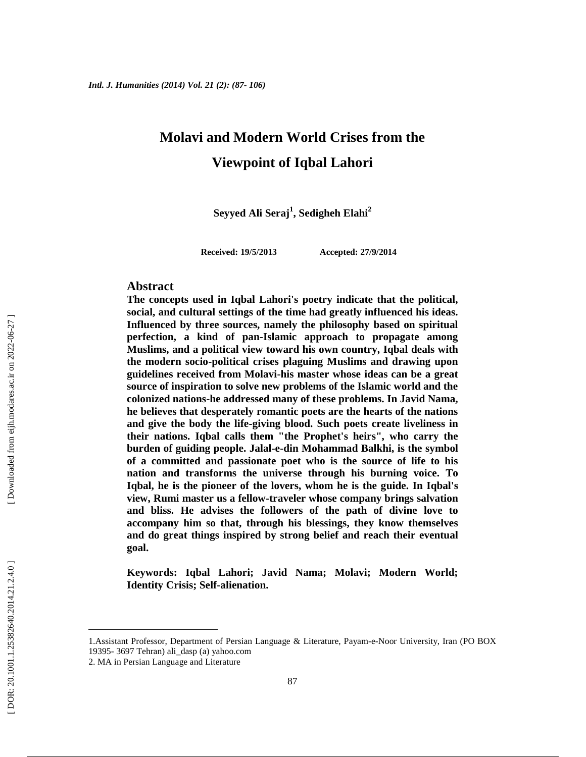# **Molavi and Modern World Crises from the Viewpoint of Iqbal Lahori**

**Seyyed Ali Seraj<sup>1</sup> , Sedigheh Elahi<sup>2</sup>**

**Received: 19/5/2013 Accepted: 27/9/2014**

#### **Abstract**

**The concepts used in Iqbal Lahori's poetry indicate that the political, social, and cultural settings of the time had greatly influenced his ideas. Influenced by three sources, namely the philosophy based on spiritual perfection, a kind of pan-Islamic approach to propagate among Muslims, and a political view toward his own country, Iqbal deals with the modern socio-political crises plaguing Muslims and drawing upon guidelines received from Molavi-his master whose ideas can be a great source of inspiration to solve new problems of the Islamic world and the colonized nations-he addressed many of these problems. In Javid Nama, he believes that desperately romantic poets are the hearts of the nations and give the body the life-giving blood. Such poets create liveliness in their nations. Iqbal calls them "the Prophet's heirs", who carry the burden of guiding people. Jalal-e-din Mohammad Balkhi, is the symbol of a committed and passionate poet who is the source of life to his nation and transforms the universe through his burning voice. To Iqbal, he is the pioneer of the lovers, whom he is the guide. In Iqbal's view, Rumi master us a fellow-traveler whose company brings salvation and bliss. He advises the followers of the path of divine love to accompany him so that, through his blessings, they know themselves and do great things inspired by strong belief and reach their eventual goal.**

**Keywords: Iqbal Lahori; Javid Nama; Molavi; Modern World; Identity Crisis; Self-alienation.**

<sup>1.</sup>Assistant Professor, Department of Persian Language & Literature, Payam-e-Noor University, Iran (PO BOX 19395- 3697 Tehran) ali\_dasp (a) yahoo.com

<sup>2.</sup> MA in Persian Language and Literature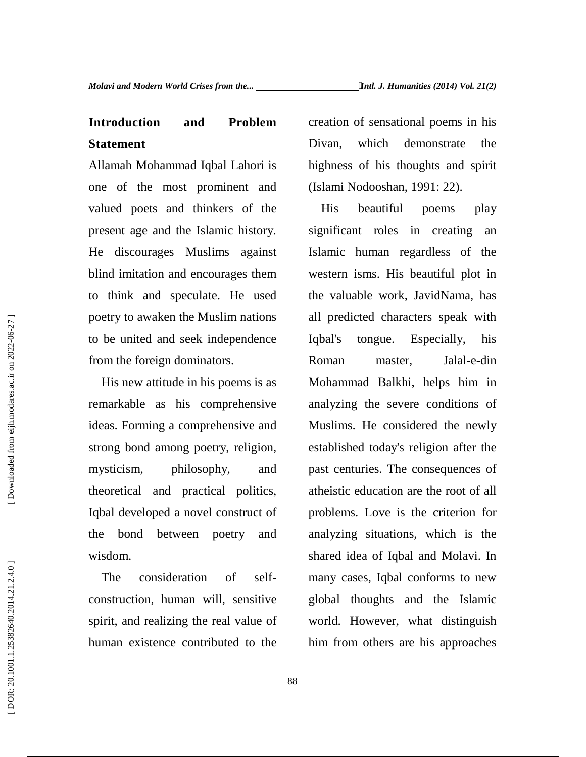## **Introduction and Problem Statement**

Allamah Mohammad Iqbal Lahori is one of the most prominent and valued poets and thinkers of the present age and the Islamic history. He discourages Muslims against blind imitation and encourages them to think and speculate. He used poetry to awaken the Muslim nations to be united and seek independence from the foreign dominators.

His new attitude in his poems is as remarkable as his comprehensive ideas. Forming a comprehensive and strong bond among poetry, religion, mysticism, philosophy, and theoretical and practical politics, Iqbal developed a novel construct of the bond between poetry and wisdom.

The consideration of self construction, human will, sensitive spirit, and realizing the real value of human existence contributed to the creation of sensational poems in his Divan, which demonstrate the highness of his thoughts and spirit (Islami Nodooshan, 1991: 22).

beautiful poems play significant roles in creating an Islamic human regardless of the western isms. His beautiful plot in the valuable work, JavidNama, has all predicted characters speak with tongue. Especially, his Roman master, Jalal-e-din Mohammad Balkhi, helps him in analyzing the severe conditions of Muslims. He considered the newly established today's religion after the past centuries. The consequences of atheistic education are the root of all problems. Love is the criterion for analyzing situations, which is the shared idea of Iqbal and Molavi. In many cases, Iqbal conforms to new global thoughts and the Islamic world. However, what distinguish him from others are his approaches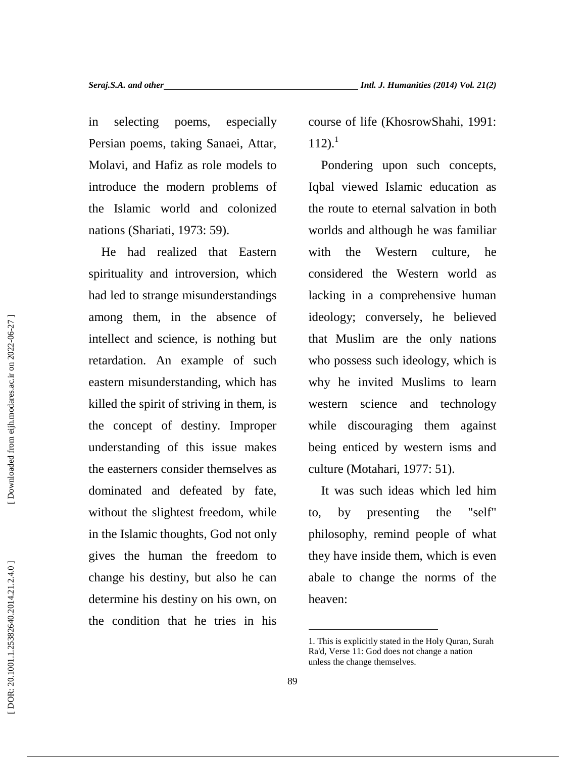in selecting poems, especially Persian poems, taking Sanaei, Attar, Molavi, and Hafiz as role models to introduce the modern problems of the Islamic world and colonized nations (Shariati, 1973: 59).

He had realized that Eastern spirituality and introversion, which had led to strange misunderstandings among them, in the absence of intellect and science, is nothing but retardation. An example of such eastern misunderstanding, which has killed the spirit of striving in them, is the concept of destiny. Improper understanding of this issue makes the easterners consider themselves as dominated and defeated by fate, without the slightest freedom, while to, in the Islamic thoughts, God not only gives the human the freedom to change his destiny, but also he can determine his destiny on his own, on the condition that he tries in his

course of life (KhosrowShahi, 1991:  $112$ ).<sup>1</sup>

Pondering upon such concepts, Iqbal viewed Islamic education as the route to eternal salvation in both worlds and although he was familiar the Western culture, he considered the Western world as lacking in a comprehensive human ideology; conversely, he believed that Muslim are the only nations who possess such ideology, which is why he invited Muslims to learn western science and technology while discouraging them against being enticed by western isms and culture (Motahari, 1977: 51).

It was such ideas which led him by presenting the "self" philosophy, remind people of what they have inside them, which is even abale to change the norms of the heaven:

<sup>1.</sup> This is explicitly stated in the Holy Quran, Surah Ra'd, Verse 11: God does not change a nation unless the change themselves.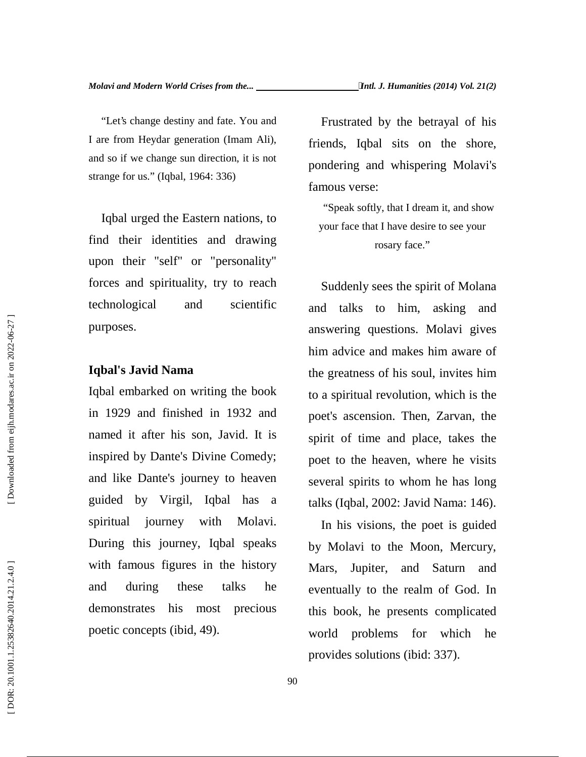"Let's change destiny and fate. You and I are from Heydar generation (Imam Ali), and so if we change sun direction, it is not strange for us." (Iqbal, 1964: 336)

Iqbal urged the Eastern nations, to find their identities and drawing upon their "self" or "personality" forces and spirituality, try to reach technological and scientific purposes.

### **Iqbal's Javid Nama**

Iqbal embarked on writing the book in 1929 and finished in 1932 and named it after his son, Javid. It is inspired by Dante's Divine Comedy; and like Dante's journey to heaven guided by Virgil, Iqbal has a spiritual journey with Molavi. During this journey, Iqbal speaks with famous figures in the history Mars, and during these talks he demonstrates his most precious poetic concepts (ibid, 49). purposes.<br> **Example 19 and Solution** and the greatness of his soul, invi-<br>
legal embarked on writing the book<br>
to a spiritual revolution, whice<br>
in 1929 and finished in 1932 and<br>
named it after his son, Javid. It is<br>
spiri

Frustrated by the betrayal of his friends, Iqbal sits on the shore, pondering and whispering Molavi's famous verse:

"Speak softly, that I dream it, and show your face that I have desire to see your rosary face."

Suddenly sees the spirit of Molana and talks to him, asking and answering questions. Molavi gives him advice and makes him aware of the greatness of his soul, invites him to a spiritual revolution, which is the poet's ascension. Then, Zarvan, the spirit of time and place, takes the poet to the heaven, where he visits several spirits to whom he has long talks (Iqbal, 2002: Javid Nama: 146).

In his visions, the poet is guided by Molavi to the Moon, Mercury, Jupiter, and Saturn and eventually to the realm of God. In this book, he presents complicated world problems for which he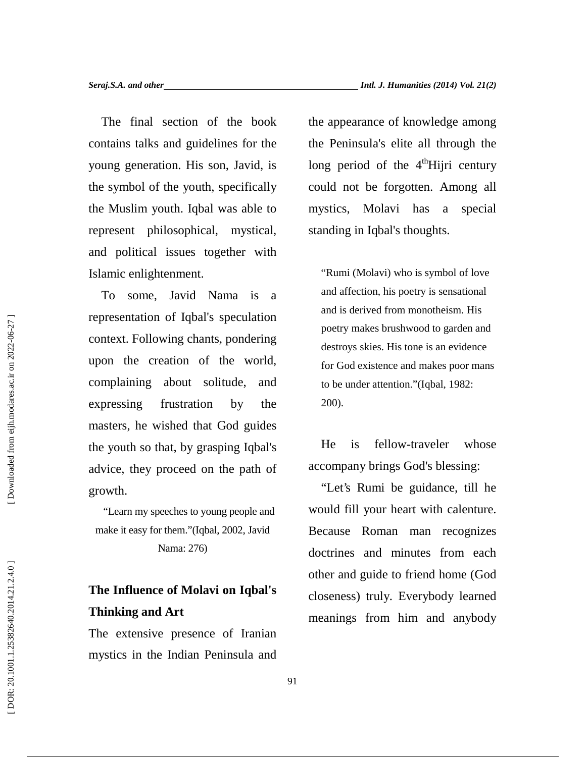The final section of the book contains talks and guidelines for the young generation. His son, Javid, is the symbol of the youth, specifically the Muslim youth. Iqbal was able to represent philosophical, mystical, and political issues together with Islamic enlightenment.

To some, Javid Nama is a representation of Iqbal's speculation context. Following chants, pondering upon the creation of the world, complaining about solitude, and expressing frustration by the masters, he wished that God guides the youth so that, by grasping Iqbal's advice, they proceed on the path of growth.

"Learn my speeches to young people and make it easy for them."(Iqbal, 2002, Javid Nama: 276)

## **The Influence of Molavi on Iqbal's Thinking and Art**

The extensive presence of Iranian mystics in the Indian Peninsula and the appearance of knowledge among the Peninsula's elite all through the long period of the 4<sup>th</sup>Hijri century could not be forgotten. Among all Molavi has a special standing in Iqbal's thoughts.

"Rumi (Molavi) who is symbol of love and affection, his poetry is sensational and is derived from monotheism. His poetry makes brushwood to garden and destroys skies. His tone is an evidence for God existence and makes poor mans to be under attention."(Iqbal, 1982: 200).

He is fellow-traveler whose accompany brings God's blessing:

"Let's Rumi be guidance, till he would fill your heart with calenture. Because Roman man recognizes doctrines and minutes from each other and guide to friend home (God closeness) truly. Everybody learned meanings from him and anybody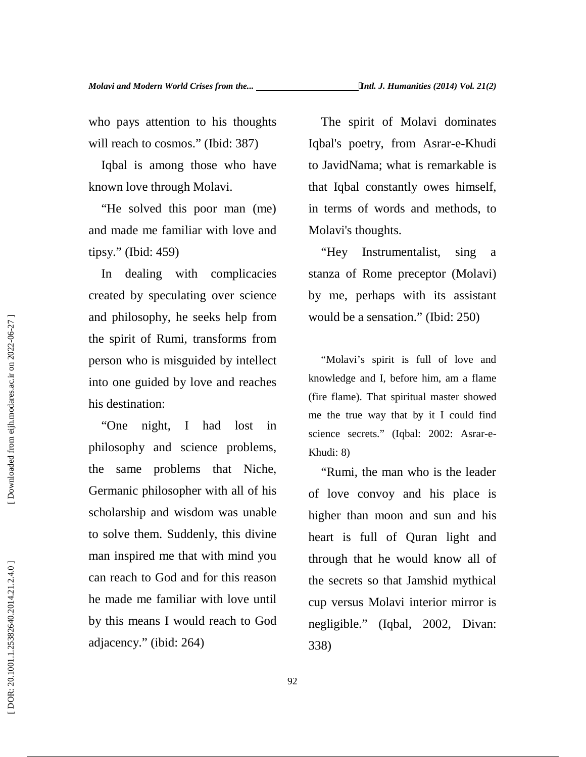who pays attention to his thoughts will reach to cosmos." (Ibid: 387)

Iqbal is among those who have known love through Molavi.

"He solved this poor man (me) and made me familiar with love and tipsy." (Ibid: 459)

In dealing with complicacies created by speculating over science and philosophy, he seeks help from the spirit of Rumi, transforms from person who is misguided by intellect into one guided by love and reaches his destination:

"One night, I had lost in philosophy and science problems, the same problems that Niche, Germanic philosopher with all of his scholarship and wisdom was unable to solve them. Suddenly, this divine man inspired me that with mind you can reach to God and for this reason he made me familiar with love until by this means I would reach to God adjacency." (ibid: 264) and philosophy, he seeks help from<br>the spirit of Rumi, transforms from<br>person who is misguided by intellect<br>into one guided by love and reaches<br>his destination: (fire<br>the same problems that Niche, we<br>define the same proble

The spirit of Molavi dominates Iqbal's poetry, from Asrar-e-Khudi to JavidNama; what is remarkable is that Iqbal constantly owes himself, in terms of words and methods, to Molavi's thoughts.

"Hey Instrumentalist, sing a stanza of Rome preceptor (Molavi) by me, perhaps with its assistant would be a sensation." (Ibid: 250)

"Molavi's spirit is full of love and knowledge and I, before him, am a flame (fire flame). That spiritual master showed me the true way that by it I could find science secrets." (Iqbal: 2002: Asrar-e- Khudi: 8)

"Rumi, the man who is the leader of love convoy and his place is higher than moon and sun and his heart is full of Quran light and through that he would know all of the secrets so that Jamshid mythical cup versus Molavi interior mirror is negligible." (Iqbal, 2002, Divan: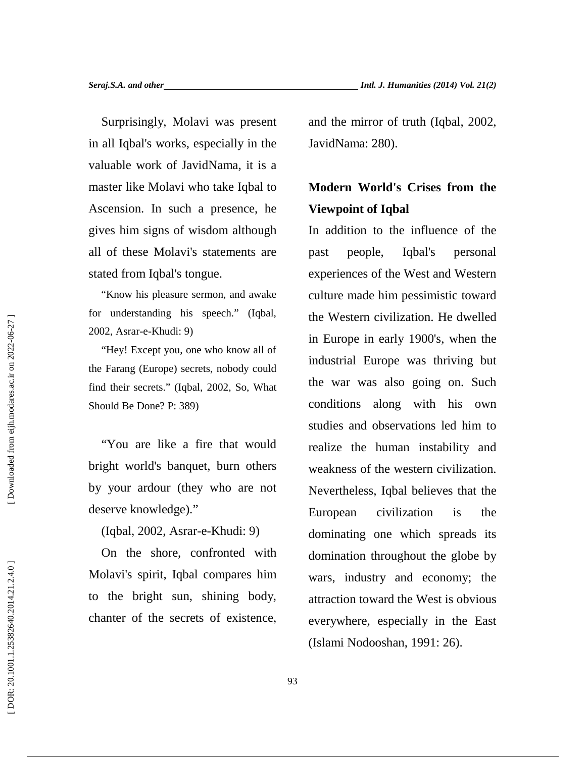Surprisingly, Molavi was present in all Iqbal's works, especially in the valuable work of JavidNama, it is a master like Molavi who take Iqbal to Ascension. In such a presence, he gives him signs of wisdom although all of these Molavi's statements are stated from Iqbal's tongue.

"Know his pleasure sermon, and awake for understanding his speech." (Iqbal, 2002, Asrar-e-Khudi: 9)

"Hey! Except you, one who know all of the Farang (Europe) secrets, nobody could find their secrets." (Iqbal, 2002, So, What Should Be Done? P: 389)

"You are like a fire that would bright world's banquet, burn others by your ardour (they who are not deserve knowledge)."

(Iqbal, 2002, Asrar-e-Khudi: 9)

On the shore, confronted with Molavi's spirit, Iqbal compares him to the bright sun, shining body, chanter of the secrets of existence, and the mirror of truth (Iqbal, 2002, JavidNama: 280).

# **Modern World's Crises from the Viewpoint of Iqbal**

In addition to the influence of the people, Iqbal's personal experiences of the West and Western culture made him pessimistic toward the Western civilization. He dwelled in Europe in early 1900's, when the industrial Europe was thriving but the war was also going on. Such conditions along with his own studies and observations led him to realize the human instability and weakness of the western civilization. Nevertheless, Iqbal believes that the European civilization is the dominating one which spreads its domination throughout the globe by wars, industry and economy; the attraction toward the West is obvious everywhere, especially in the East (Islami Nodovi's spirit, Iqbal, compass him (Islami Nodooshan, 1991: 26).<br>
(Islami Nodooshan, 1991: 26).<br>
(Islami Nodooshan, 1991)<br>
(Islami Nodovice and Servations along with his studies and observations led her eigning t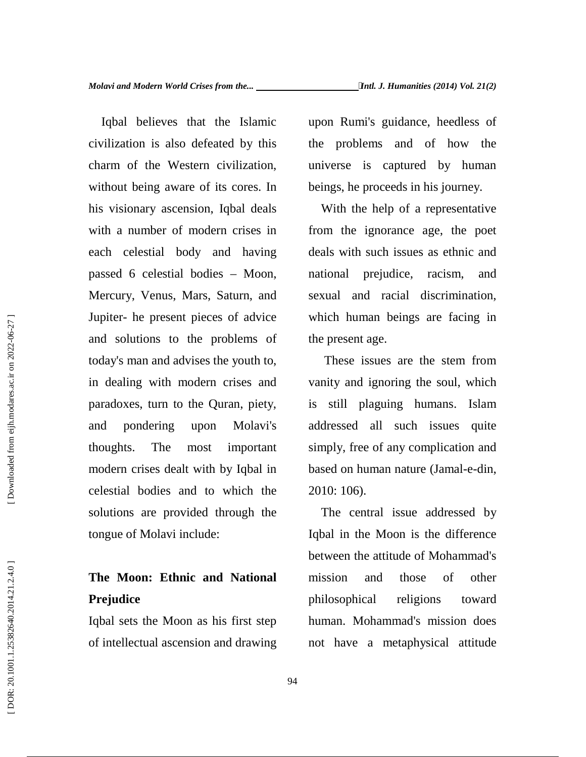Iqbal believes that the Islamic civilization is also defeated by this charm of the Western civilization, without being aware of its cores. In his visionary ascension, Iqbal deals with a number of modern crises in each celestial body and having passed 6 celestial bodies – Moon, Mercury, Venus, Mars, Saturn, and Jupiter- he present pieces of advice and solutions to the problems of today's man and advises the youth to, in dealing with modern crises and paradoxes, turn to the Quran, piety, and pondering upon Molavi's thoughts. The most important modern crises dealt with by Iqbal in celestial bodies and to which the solutions are provided through the tongue of Molavi include:

## **The Moon: Ethnic and National Prejudice**

Iqbal sets the Moon as his first step of intellectual ascension and drawing upon Rumi's guidance, heedless of problems and of how the universe is captured by human beings, he proceeds in his journey.

With the help of a representative from the ignorance age, the poet deals with such issues as ethnic and national prejudice, racism, and sexual and racial discrimination, which human beings are facing in the present age.

These issues are the stem from vanity and ignoring the soul, which is still plaguing humans. Islam addressed all such issues quite simply, free of any complication and based on human nature (Jamal-e-din, 2010: 106).

The central issue addressed by Iqbal in the Moon is the difference between the attitude of Mohammad's mission and those of other philosophical religions toward human. Mohammad's mission does not have a metaphysical attitude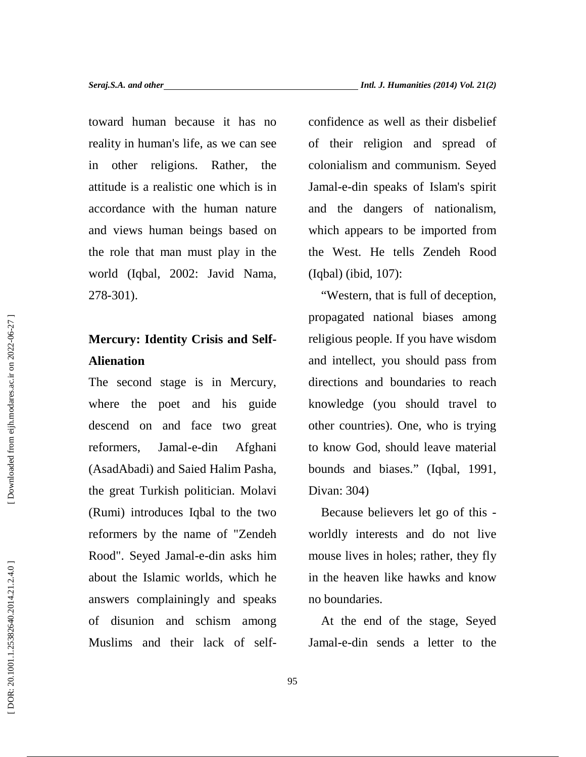toward human because it has no reality in human's life, as we can see in other religions. Rather, the attitude is a realistic one which is in accordance with the human nature and views human beings based on the role that man must play in the world (Iqbal, 2002: Javid Nama, 278-301).

## **Mercury: Identity Crisis and Self- Alienation**

The second stage is in Mercury, where the poet and his guide descend on and face two great reformers, Jamal-e-din Afghani (AsadAbadi) and Saied Halim Pasha, the great Turkish politician. Molavi (Rumi) introduces Iqbal to the two reformers by the name of "Zendeh Rood". Seyed Jamal-e-din asks him about the Islamic worlds, which he answers complainingly and speaks of disunion and schism among Muslims and their lack of selfconfidence as well as their disbelief of their religion and spread of colonialism and communism. Seyed Jamal-e-din speaks of Islam's spirit and the dangers of nationalism, which appears to be imported from the West. He tells Zendeh Rood (Iqbal) (ibid, 107):

"Western, that is full of deception, propagated national biases among religious people. If you have wisdom and intellect, you should pass from directions and boundaries to reach knowledge (you should travel to other countries). One, who is trying to know God, should leave material bounds and biases." (Iqbal, 1991, Divan: 304)

Because believers let go of this worldly interests and do not live mouse lives in holes; rather, they fly in the heaven like hawks and know no boundaries.

At the end of the stage, Seyed Jamal-e-din sends a letter to the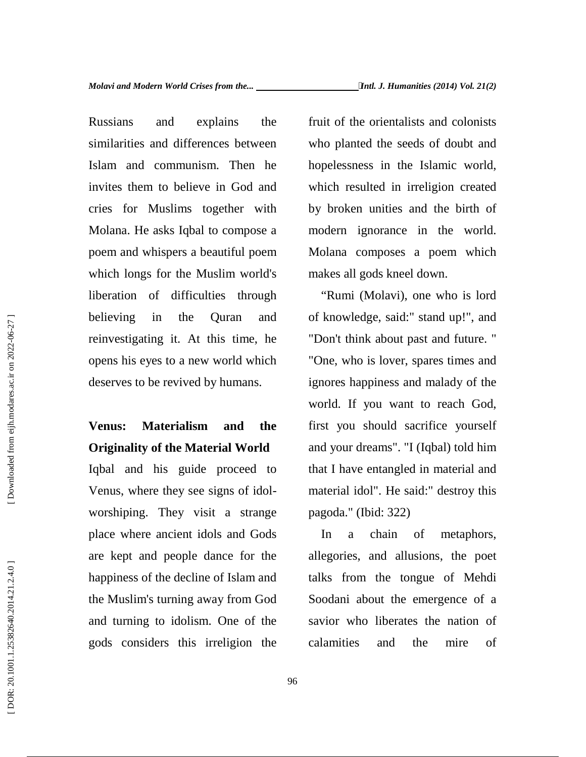Russians and explains the similarities and differences between Islam and communism. Then he invites them to believe in God and cries for Muslims together with Molana. He asks Iqbal to compose a poem and whispers a beautiful poem which longs for the Muslim world's liberation of difficulties through believing in the Quran and reinvestigating it. At this time, he opens his eyes to a new world which deserves to be revived by humans.

# **Venus: Materialism and the Originality of the Material World**

Iqbal and his guide proceed to Venus, where they see signs of idol worshiping. They visit a strange place where ancient idols and Gods are kept and people dance for the happiness of the decline of Islam and the Muslim's turning away from God and turning to idolism. One of the gods considers this irreligion the fruit of the orientalists and colonists who planted the seeds of doubt and hopelessness in the Islamic world, which resulted in irreligion created by broken unities and the birth of modern ignorance in the world. Molana composes a poem which makes all gods kneel down.

"Rumi (Molavi), one who is lord of knowledge, said:" stand up!", and "Don't think about past and future. " "One, who is lover, spares times and ignores happiness and malady of the world. If you want to reach God, first you should sacrifice yourself and your dreams". "I (Iqbal) told him that I have entangled in material and material idol". He said:" destroy this pagoda." (Ibid: 322)

In a chain of metaphors, allegories, and allusions, the poet talks from the tongue of Mehdi Soodani about the emergence of a savior who liberates the nation of calamities and the mire of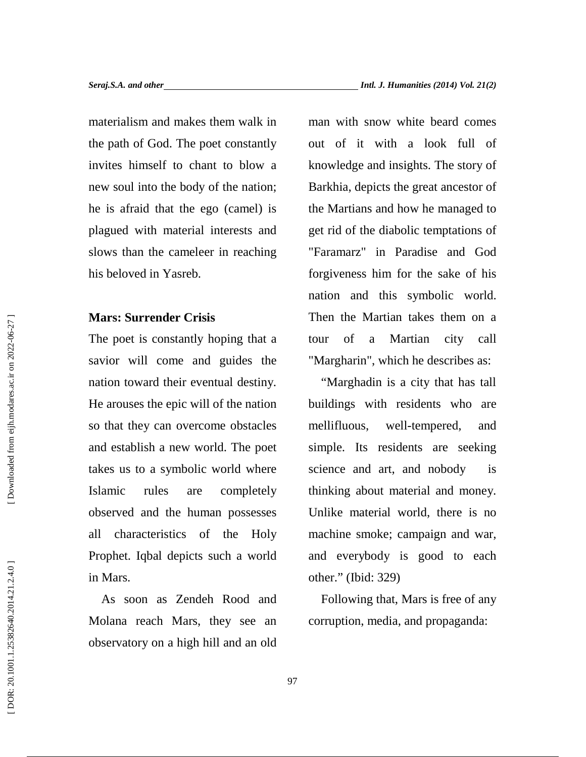materialism and makes them walk in the path of God. The poet constantly invites himself to chant to blow a new soul into the body of the nation; he is afraid that the ego (camel) is plagued with material interests and slows than the cameleer in reaching his beloved in Yasreb.

## **Mars: Surrender Crisis**

The poet is constantly hoping that a tour savior will come and guides the nation toward their eventual destiny. He arouses the epic will of the nation so that they can overcome obstacles mellifluous, and establish a new world. The poet takes us to a symbolic world where Islamic rules are completely observed and the human possesses all characteristics of the Holy Prophet. Iqbal depicts such a world in Mars.

As soon as Zendeh Rood and Molana reach Mars, they see an observatory on a high hill and an old man with snow white beard comes out of it with a look full of knowledge and insights. The story of Barkhia, depicts the great ancestor of the Martians and how he managed to get rid of the diabolic temptations of "Faramarz" in Paradise and God forgiveness him for the sake of his nation and this symbolic world. Then the Martian takes them on a of a Martian city call "Margharin", which he describes as:

"Marghadin is a city that has tall buildings with residents who are well-tempered, and simple. Its residents are seeking science and art, and nobody is thinking about material and money. Unlike material world, there is no machine smoke; campaign and war, and everybody is good to each other." (Ibid: 329)

Following that, Mars is free of any corruption, media, and propaganda: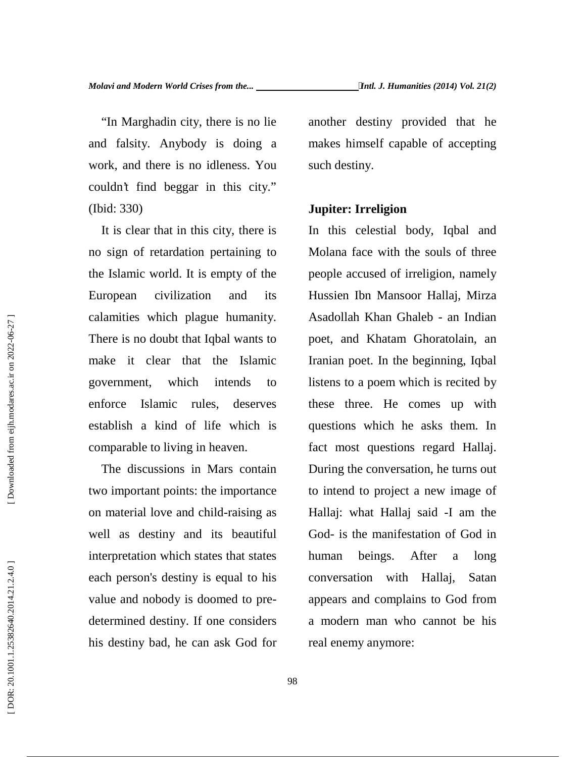"In Marghadin city, there is no lie and falsity. Anybody is doing a work, and there is no idleness. You couldn't find beggar in this city." (Ibid: 330)

It is clear that in this city, there is no sign of retardation pertaining to the Islamic world. It is empty of the European civilization and its calamities which plague humanity. There is no doubt that Iqbal wants to make it clear that the Islamic government, which intends to enforce Islamic rules, deserves establish a kind of life which is comparable to living in heaven.

The discussions in Mars contain two important points: the importance on material love and child-raising as well as destiny and its beautiful interpretation which states that states human each person's destiny is equal to his value and nobody is doomed to pre determined destiny. If one considers his destiny bad, he can ask God for

another destiny provided that he makes himself capable of accepting such destiny.

#### **Jupiter: Irreligion**

In this celestial body, Iqbal and Molana face with the souls of three people accused of irreligion, namely Hussien Ibn Mansoor Hallaj, Mirza Asadollah Khan Ghaleb - an Indian poet, and Khatam Ghoratolain, an Iranian poet. In the beginning, Iqbal listens to a poem which is recited by these three. He comes up with questions which he asks them. In fact most questions regard Hallaj. During the conversation, he turns out to intend to project a new image of Hallaj: what Hallaj said -I am the God- is the manifestation of God in beings. After a long conversation with Hallaj, Satan appears and complains to God from a modern man who cannot be his real enemy anymore: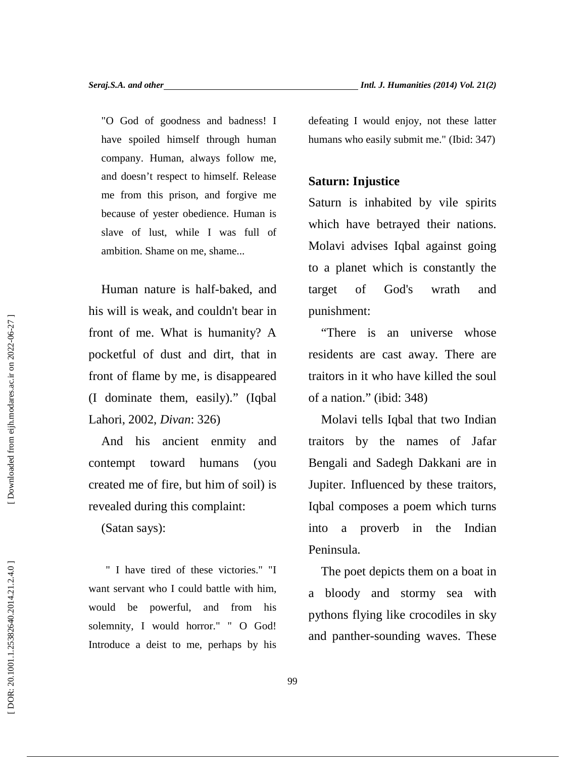"O God of goodness and badness! I have spoiled himself through human company. Human, always follow me, and doesn't respect to himself. Release me from this prison, and forgive me because of yester obedience. Human is slave of lust, while I was full of ambition. Shame on me, shame...

Human nature is half-baked, and his will is weak, and couldn't bear in front of me. What is humanity? A pocketful of dust and dirt, that in front of flame by me, is disappeared (I dominate them, easily)." (Iqbal Lahori, 2002, *Divan*: 326)

And his ancient enmity and contempt toward humans (you created me of fire, but him of soil) is revealed during this complaint:

(Satan says):

" I have tired of these victories." "I want servant who I could battle with him, would be powerful, and from his solemnity, I would horror." " O God! Introduce a deist to me, perhaps by his

## **Saturn: Injustice**

Saturn is inhabited by vile spirits which have betrayed their nations. Molavi advises Iqbal against going to a planet which is constantly the target of God's wrath and punishment:

"There is an universe whose residents are cast away. There are traitors in it who have killed the soul of a nation." (ibid: 348)

Molavi tells Iqbal that two Indian traitors by the names of Jafar Bengali and Sadegh Dakkani are in Jupiter. Influenced by these traitors, Iqbal composes a poem which turns into a proverb in the Indian Peninsula.

The poet depicts them on a boat in a bloody and stormy sea with pythons flying like crocodiles in sky and panther-sounding waves. These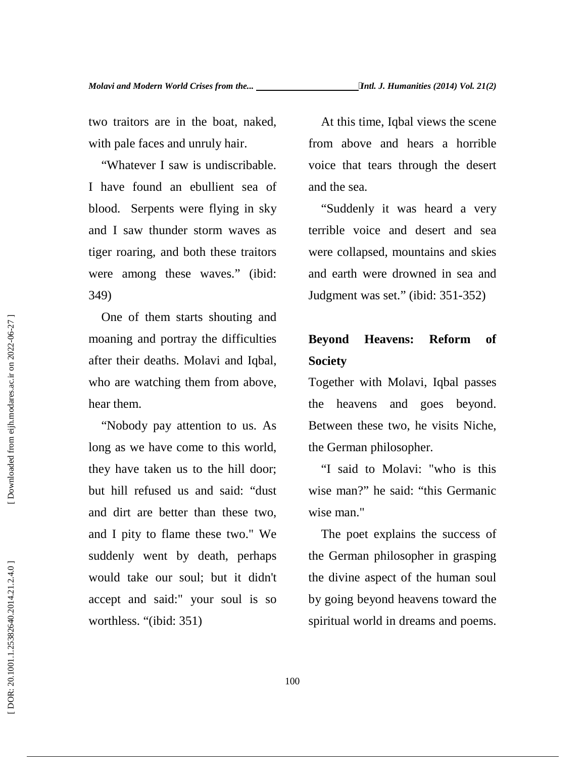two traitors are in the boat, naked, with pale faces and unruly hair.

"Whatever I saw is undiscribable. I have found an ebullient sea of blood. Serpents were flying in sky and I saw thunder storm waves as tiger roaring, and both these traitors were among these waves." (ibid: 349)

One of them starts shouting and moaning and portray the difficulties **Beyond** after their deaths. Molavi and Iqbal, who are watching them from above, hear them.

"Nobody pay attention to us. As long as we have come to this world, they have taken us to the hill door; but hill refused us and said: "dust and dirt are better than these two, and I pity to flame these two." We suddenly went by death, perhaps would take our soul; but it didn't accept and said:" your soul is so worthless. "(ibid: 351)

At this time, Iqbal views the scene from above and hears a horrible voice that tears through the desert and the sea.

"Suddenly it was heard a very terrible voice and desert and sea were collapsed, mountains and skies and earth were drowned in sea and Judgment was set." (ibid: 351-352)

## **Heavens: Reform of Society**

Together with Molavi, Iqbal passes the heavens and goes beyond. Between these two, he visits Niche, the German philosopher.

"I said to Molavi: "who is this wise man?" he said: "this Germanic wise man."

The poet explains the success of the German philosopher in grasping the divine aspect of the human soul by going beyond heavens toward the spiritual world in dreams and poems.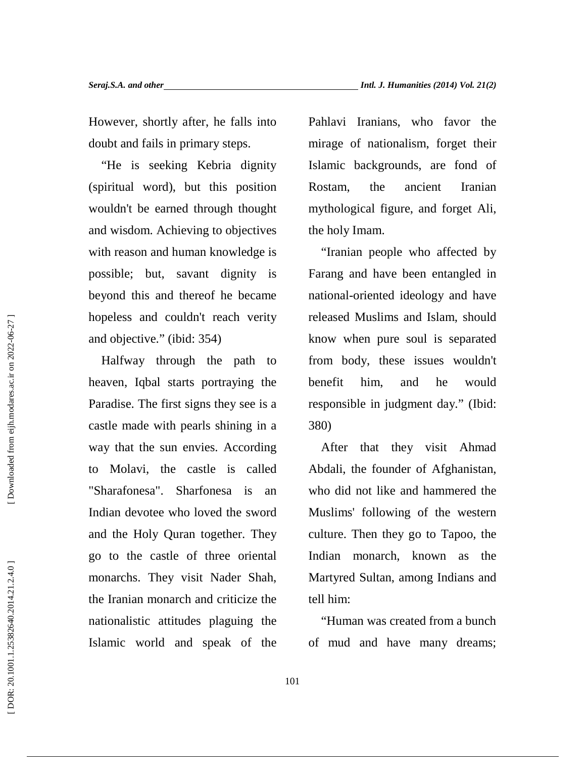However, shortly after, he falls into doubt and fails in primary steps.

"He is seeking Kebria dignity (spiritual word), but this position wouldn't be earned through thought and wisdom. Achieving to objectives with reason and human knowledge is possible; but, savant dignity is beyond this and thereof he became hopeless and couldn't reach verity and objective." (ibid: 354)

Halfway through the path to heaven, Iqbal starts portraying the Paradise. The first signs they see is a castle made with pearls shining in a way that the sun envies. According to Molavi, the castle is called "Sharafonesa". Sharfonesa is an Indian devotee who loved the sword and the Holy Quran together. They go to the castle of three oriental monarchs. They visit Nader Shah, the Iranian monarch and criticize the nationalistic attitudes plaguing the Islamic world and speak of the Pahlavi Iranians, who favor the mirage of nationalism, forget their Islamic backgrounds, are fond of the ancient Iranian mythological figure, and forget Ali, the holy Imam.

"Iranian people who affected by Farang and have been entangled in national-oriented ideology and have released Muslims and Islam, should know when pure soul is separated from body, these issues wouldn't benefit him, and he would responsible in judgment day." (Ibid: 380)

After that they visit Ahmad Abdali, the founder of Afghanistan, who did not like and hammered the Muslims' following of the western culture. Then they go to Tapoo, the Indian monarch, known as the Martyred Sultan, among Indians and tell him:

"Human was created from a bunch of mud and have many dreams;

Downloaded from eijh.modares.ac.ir on 2022-06-27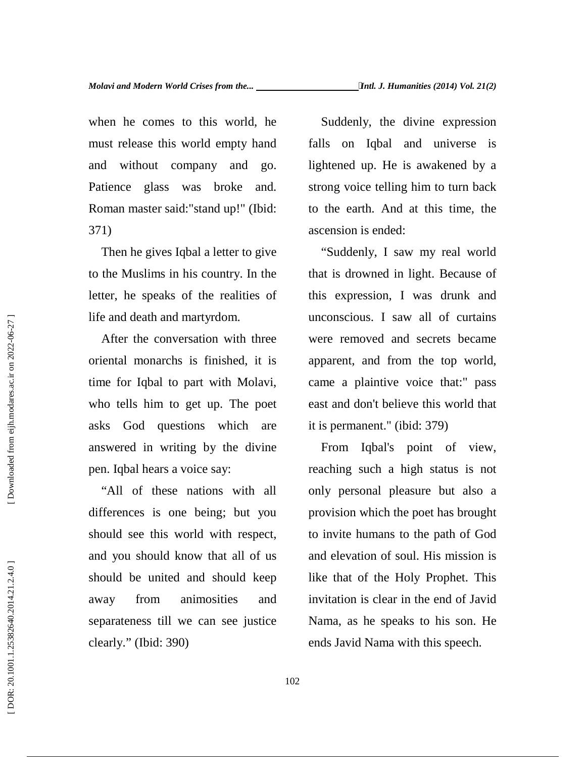when he comes to this world, he must release this world empty hand and without company and go. Patience glass was broke and. Roman master said:"stand up!" (Ibid: 371)

Then he gives Iqbal a letter to give to the Muslims in his country. In the letter, he speaks of the realities of life and death and martyrdom.

After the conversation with three oriental monarchs is finished, it is time for Iqbal to part with Molavi, who tells him to get up. The poet asks God questions which are answered in writing by the divine pen. Iqbal hears a voice say:

"All of these nations with all differences is one being; but you should see this world with respect, and you should know that all of us should be united and should keep away from animosities and separateness till we can see justice clearly." (Ibid: 390)

Suddenly, the divine expression falls on Iqbal and universe is lightened up. He is awakened by a strong voice telling him to turn back to the earth. And at this time, the ascension is ended:

"Suddenly, I saw my real world that is drowned in light. Because of this expression, I was drunk and unconscious. I saw all of curtains were removed and secrets became apparent, and from the top world, came a plaintive voice that:" pass east and don't believe this world that it is permanent." (ibid: 379)

From Iqbal's point of view, reaching such a high status is not only personal pleasure but also a provision which the poet has brought to invite humans to the path of God and elevation of soul. His mission is like that of the Holy Prophet. This invitation is clear in the end of Javid Nama, as he speaks to his son. He ends Javid Nama with this speech.

DOR: 20.1001.1.25382640.2014.21.2.4.0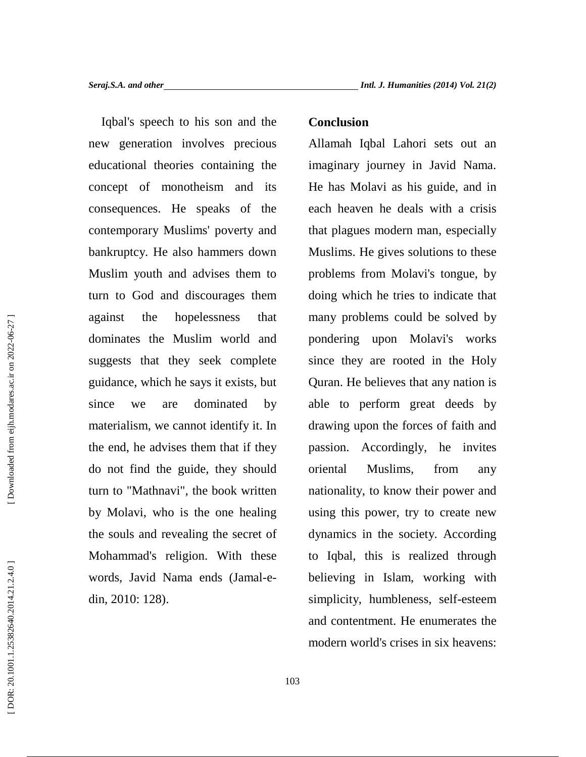Iqbal's speech to his son and the new generation involves precious educational theories containing the concept of monotheism and its consequences. He speaks of the contemporary Muslims' poverty and bankruptcy. He also hammers down Muslim youth and advises them to turn to God and discourages them against the hopelessness that dominates the Muslim world and suggests that they seek complete guidance, which he says it exists, but since we are dominated by materialism, we cannot identify it. In the end, he advises them that if they do not find the guide, they should turn to "Mathnavi", the book written by Molavi, who is the one healing the souls and revealing the secret of Mohammad's religion. With these words, Javid Nama ends (Jamal-e din, 2010: 128).

### **Conclusion**

Allamah Iqbal Lahori sets out an imaginary journey in Javid Nama. He has Molavi as his guide, and in each heaven he deals with a crisis that plagues modern man, especially Muslims. He gives solutions to these problems from Molavi's tongue, by doing which he tries to indicate that many problems could be solved by pondering upon Molavi's works since they are rooted in the Holy Quran. He believes that any nation is able to perform great deeds by drawing upon the forces of faith and passion. Accordingly, he invites Muslims, from any nationality, to know their power and using this power, try to create new dynamics in the society. According to Iqbal, this is realized through believing in Islam, working with simplicity, humbleness, self-esteem and contentment. He enumerates the modern world's crises in six heavens: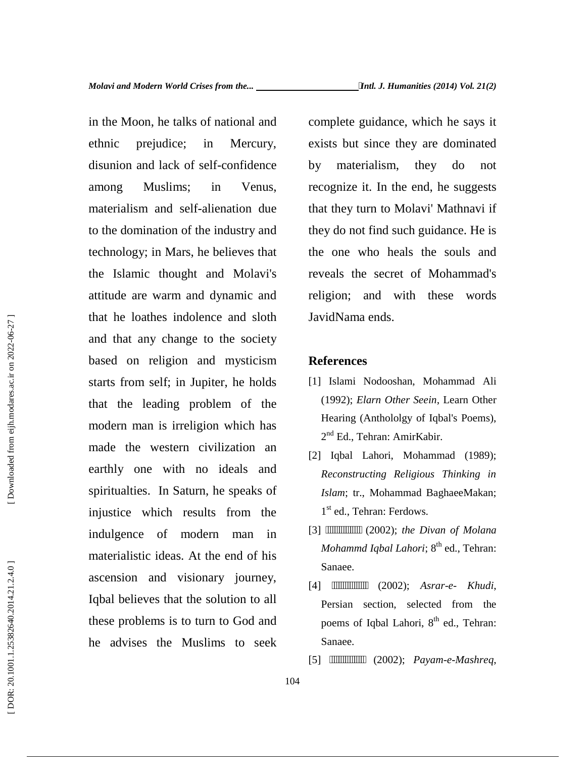in the Moon, he talks of national and ethnic prejudice; in Mercury, disunion and lack of self-confidence among Muslims; in Venus, materialism and self-alienation due to the domination of the industry and technology; in Mars, he believes that the Islamic thought and Molavi's attitude are warm and dynamic and that he loathes indolence and sloth and that any change to the society based on religion and mysticism starts from self; in Jupiter, he holds that the leading problem of the modern man is irreligion which has made the western civilization an earthly one with no ideals and spiritualties. In Saturn, he speaks of injustice which results from the indulgence of modern man in materialistic ideas. At the end of his ascension and visionary journey, Iqbal believes that the solution to all these problems is to turn to God and he advises the Muslims to seek that he loathes indolence and sloth<br>
and that any change to the society<br>
based on religion and mysticsim<br>
starts from self; in Jupiter, he holds<br>
that the leading problem of the<br>
modern man is irreligion which has<br>  $2^{16}$ 

complete guidance, which he says it exists but since they are dominated by materialism, they do not recognize it. In the end, he suggests that they turn to Molavi' Mathnavi if they do not find such guidance. He is the one who heals the souls and reveals the secret of Mohammad's religion; and with these words JavidNama ends.

### **References**

104

- [1] Islami Nodooshan, Mohammad Ali (1992); *Elarn Other Seein*, Learn Other Hearing (Anthololgy of Iqbal's Poems), 2<sup>nd</sup> Ed., Tehran: AmirKabir.
- [2] Iqbal Lahori, Mohammad (1989); *Reconstructing Religious Thinking in Islam*; tr., Mohammad BaghaeeMakan; 1 st ed., Tehran: Ferdows.
- (2002); the Divan of Molana *Mohammd Iqbal Lahori*; 8<sup>th</sup> ed., Tehran: Sanaee.
- [4] ــــــــــــــــ) 2002 ;(*Asrar-e- Khudi*, Persian section, selected from the poems of Iqbal Lahori, 8<sup>th</sup> ed., Tehran: Sanaee.
-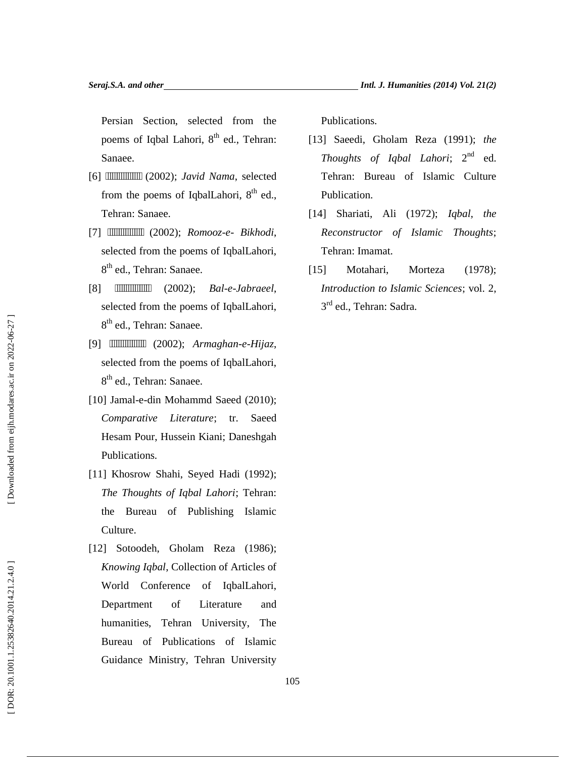Persian Section, selected from the poems of Iqbal Lahori, 8<sup>th</sup> ed., Tehran: Sanaee.

- [6] ــــــــــــــــ) 2002 ;(*Javid Nama*, selected from the poems of IqbalLahori, 8<sup>th</sup> ed., Tehran: Sanaee.
- [7] ــــــــــــــــ) 2002 ;(*Romooz-e- Bikhodi*, selected from the poems of IqbalLahori, 8<sup>th</sup> ed., Tehran: Sanaee.
- [8]  $(2002);$   $Bal-e-Jabraeel,$ selected from the poems of IqbalLahori, 8<sup>th</sup> ed., Tehran: Sanaee.
- [9] ــــــــــــــــ) 2002 ;(*Armaghan-e-Hijaz*, selected from the poems of IqbalLahori, 8<sup>th</sup> ed., Tehran: Sanaee.
- [10] Jamal-e-din Mohammd Saeed (2010); *Comparative Literature*; tr. Saeed Hesam Pour, Hussein Kiani; Daneshgah Publications.
- [11] Khosrow Shahi, Seyed Hadi (1992); *The Thoughts of Iqbal Lahori*; Tehran: the Bureau of Publishing Islamic Culture.
- [12] Sotoodeh, Gholam Reza (1986); *Knowing Iqbal*, Collection of Articles of World Conference of IqbalLahori, Department of Literature and humanities, Tehran University, The Bureau of Publications of Islamic Guidance Ministry, Tehran University

Publications.

- [13] Saeedi, Gholam Reza (1991); *the Thoughts of Iqbal Lahori*; 2<sup>nd</sup> ed. Tehran: Bureau of Islamic Culture Publication.
- [14] Shariati, Ali (1972); *Iqbal, the Reconstructor of Islamic Thoughts*; Tehran: Imamat.
- [15] Motahari, Morteza (1978); *Introduction to Islamic Sciences*; vol. 2, 3<sup>rd</sup> ed., Tehran: Sadra.